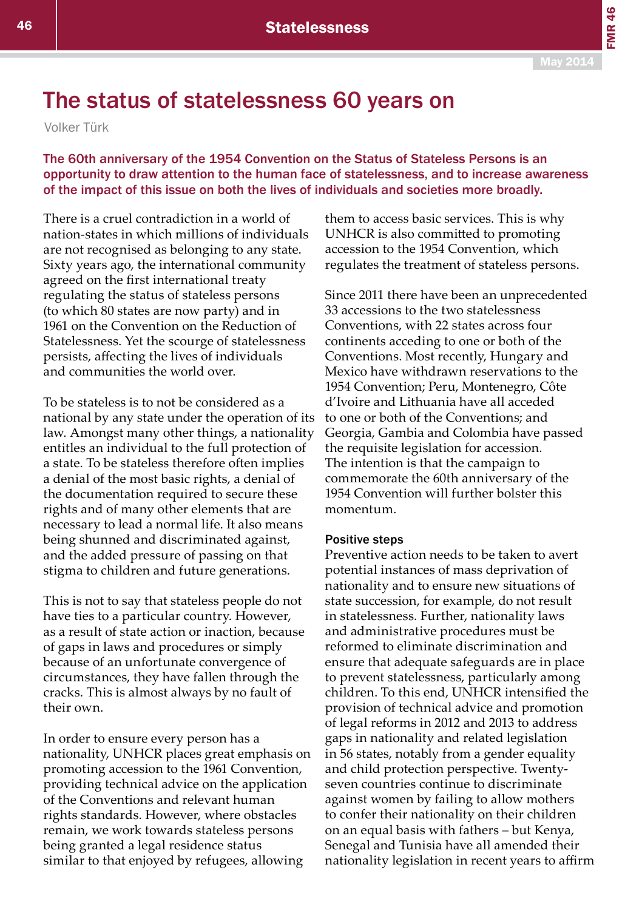FMR 46

## The status of statelessness 60 years on

Volker Türk

The 60th anniversary of the 1954 Convention on the Status of Stateless Persons is an opportunity to draw attention to the human face of statelessness, and to increase awareness of the impact of this issue on both the lives of individuals and societies more broadly.

There is a cruel contradiction in a world of nation-states in which millions of individuals are not recognised as belonging to any state. Sixty years ago, the international community agreed on the first international treaty regulating the status of stateless persons (to which 80 states are now party) and in 1961 on the Convention on the Reduction of Statelessness. Yet the scourge of statelessness persists, affecting the lives of individuals and communities the world over.

To be stateless is to not be considered as a national by any state under the operation of its law. Amongst many other things, a nationality entitles an individual to the full protection of a state. To be stateless therefore often implies a denial of the most basic rights, a denial of the documentation required to secure these rights and of many other elements that are necessary to lead a normal life. It also means being shunned and discriminated against, and the added pressure of passing on that stigma to children and future generations.

This is not to say that stateless people do not have ties to a particular country. However, as a result of state action or inaction, because of gaps in laws and procedures or simply because of an unfortunate convergence of circumstances, they have fallen through the cracks. This is almost always by no fault of their own.

In order to ensure every person has a nationality, UNHCR places great emphasis on promoting accession to the 1961 Convention, providing technical advice on the application of the Conventions and relevant human rights standards. However, where obstacles remain, we work towards stateless persons being granted a legal residence status similar to that enjoyed by refugees, allowing

them to access basic services. This is why UNHCR is also committed to promoting accession to the 1954 Convention, which regulates the treatment of stateless persons.

Since 2011 there have been an unprecedented 33 accessions to the two statelessness Conventions, with 22 states across four continents acceding to one or both of the Conventions. Most recently, Hungary and Mexico have withdrawn reservations to the 1954 Convention; Peru, Montenegro, Côte d'Ivoire and Lithuania have all acceded to one or both of the Conventions; and Georgia, Gambia and Colombia have passed the requisite legislation for accession. The intention is that the campaign to commemorate the 60th anniversary of the 1954 Convention will further bolster this momentum.

## Positive steps

Preventive action needs to be taken to avert potential instances of mass deprivation of nationality and to ensure new situations of state succession, for example, do not result in statelessness. Further, nationality laws and administrative procedures must be reformed to eliminate discrimination and ensure that adequate safeguards are in place to prevent statelessness, particularly among children. To this end, UNHCR intensified the provision of technical advice and promotion of legal reforms in 2012 and 2013 to address gaps in nationality and related legislation in 56 states, notably from a gender equality and child protection perspective. Twentyseven countries continue to discriminate against women by failing to allow mothers to confer their nationality on their children on an equal basis with fathers – but Kenya, Senegal and Tunisia have all amended their nationality legislation in recent years to affirm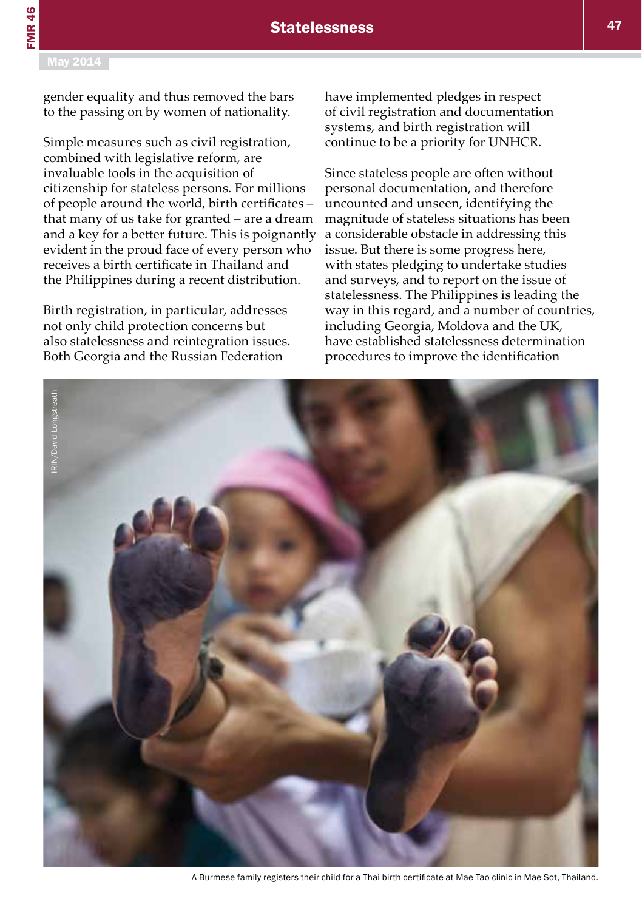gender equality and thus removed the bars to the passing on by women of nationality.

Simple measures such as civil registration, combined with legislative reform, are invaluable tools in the acquisition of citizenship for stateless persons. For millions of people around the world, birth certificates – that many of us take for granted – are a dream and a key for a better future. This is poignantly evident in the proud face of every person who receives a birth certificate in Thailand and the Philippines during a recent distribution.

Birth registration, in particular, addresses not only child protection concerns but also statelessness and reintegration issues. Both Georgia and the Russian Federation

have implemented pledges in respect of civil registration and documentation systems, and birth registration will continue to be a priority for UNHCR.

Since stateless people are often without personal documentation, and therefore uncounted and unseen, identifying the magnitude of stateless situations has been a considerable obstacle in addressing this issue. But there is some progress here, with states pledging to undertake studies and surveys, and to report on the issue of statelessness. The Philippines is leading the way in this regard, and a number of countries, including Georgia, Moldova and the UK, have established statelessness determination procedures to improve the identification



A Burmese family registers their child for a Thai birth certificate at Mae Tao clinic in Mae Sot, Thailand.